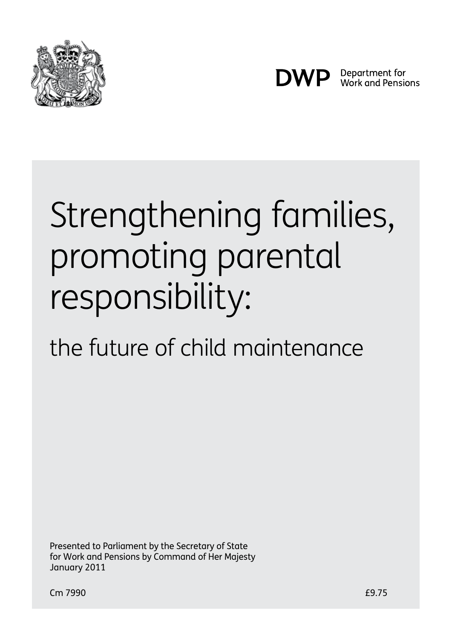



Department for Work and Pensions

# Strengthening families, promoting parental responsibility:

# the future of child maintenance

Presented to Parliament by the Secretary of State for Work and Pensions by Command of Her Majesty January 2011

Cm 7990. £9.75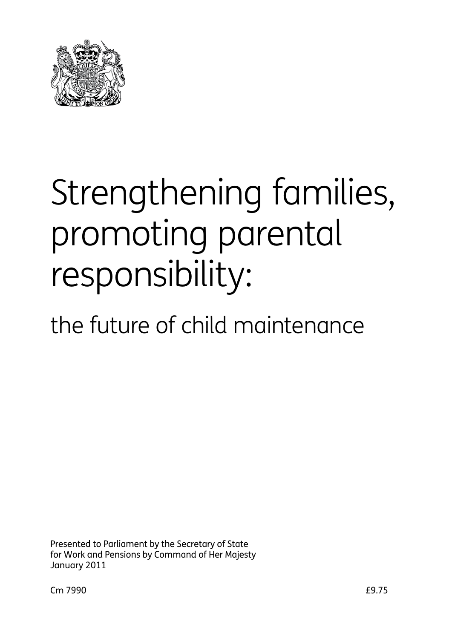

# Strengthening families, promoting parental responsibility:

# the future of child maintenance

Presented to Parliament by the Secretary of State for Work and Pensions by Command of Her Majesty January 2011.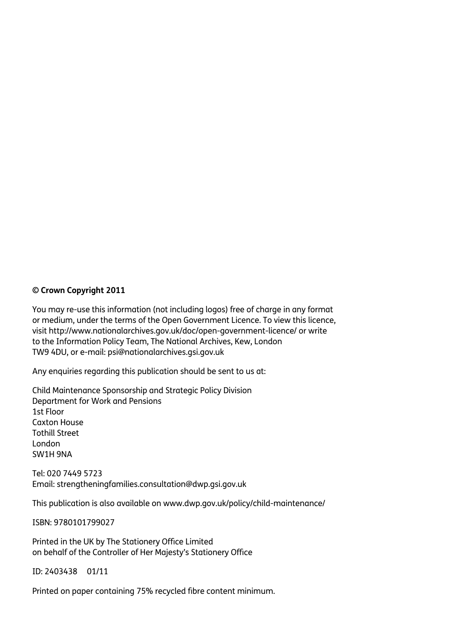#### **© Crown Copyright 2011**

You may re-use this information (not including logos) free of charge in any format or medium, under the terms of the Open Government Licence. To view this licence, visit http://www.nationalarchives.gov.uk/doc/open-government-licence/ or write to the Information Policy Team, The National Archives, Kew, London TW9 4DU, or e-mail: psi@nationalarchives.gsi.gov.uk

Any enquiries regarding this publication should be sent to us at:

Child Maintenance Sponsorship and Strategic Policy Division Department for Work and Pensions 1st Floor Caxton House Tothill Street London SW1H 9NA

Tel: 020 7449 5723 Email: strengtheningfamilies.consultation@dwp.gsi.gov.uk

This publication is also available on www.dwp.gov.uk/policy/child-maintenance/

ISBN: 9780101799027

Printed in the UK by The Stationery Office Limited on behalf of the Controller of Her Majesty's Stationery Office

ID: 2403438 01/11

Printed on paper containing 75% recycled fibre content minimum.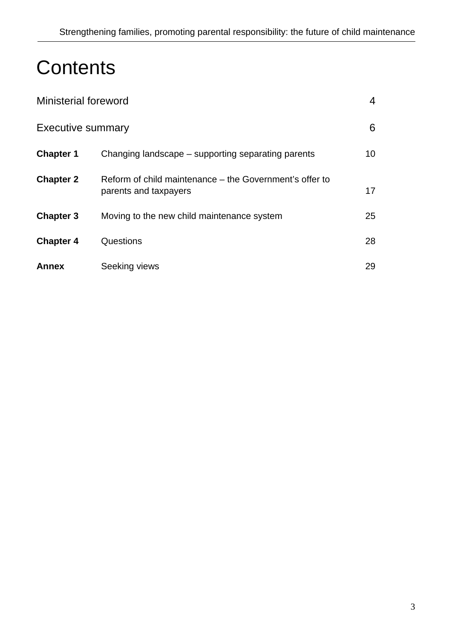# **Contents**

| <b>Ministerial foreword</b> |                                                                                  | 4               |
|-----------------------------|----------------------------------------------------------------------------------|-----------------|
| <b>Executive summary</b>    |                                                                                  | 6               |
| <b>Chapter 1</b>            | Changing landscape – supporting separating parents                               | 10 <sup>°</sup> |
| <b>Chapter 2</b>            | Reform of child maintenance – the Government's offer to<br>parents and taxpayers | 17              |
| <b>Chapter 3</b>            | Moving to the new child maintenance system                                       | 25              |
| <b>Chapter 4</b>            | Questions                                                                        | 28              |
| <b>Annex</b>                | Seeking views                                                                    | 29              |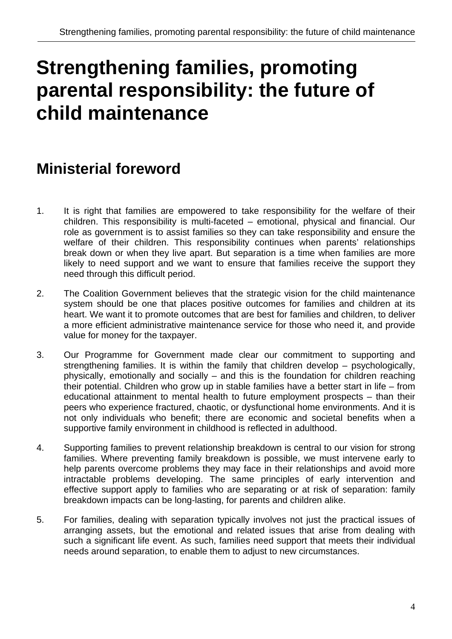# **Strengthening families, promoting parental responsibility: the future of child maintenance**

# **Ministerial foreword**

- 1. It is right that families are empowered to take responsibility for the welfare of their children. This responsibility is multi-faceted – emotional, physical and financial. Our role as government is to assist families so they can take responsibility and ensure the welfare of their children. This responsibility continues when parents' relationships break down or when they live apart. But separation is a time when families are more likely to need support and we want to ensure that families receive the support they need through this difficult period.
- 2. The Coalition Government believes that the strategic vision for the child maintenance system should be one that places positive outcomes for families and children at its heart. We want it to promote outcomes that are best for families and children, to deliver a more efficient administrative maintenance service for those who need it, and provide value for money for the taxpayer.
- 3. Our Programme for Government made clear our commitment to supporting and strengthening families. It is within the family that children develop – psychologically, physically, emotionally and socially – and this is the foundation for children reaching their potential. Children who grow up in stable families have a better start in life – from educational attainment to mental health to future employment prospects – than their peers who experience fractured, chaotic, or dysfunctional home environments. And it is not only individuals who benefit; there are economic and societal benefits when a supportive family environment in childhood is reflected in adulthood.
- 4. Supporting families to prevent relationship breakdown is central to our vision for strong families. Where preventing family breakdown is possible, we must intervene early to help parents overcome problems they may face in their relationships and avoid more intractable problems developing. The same principles of early intervention and effective support apply to families who are separating or at risk of separation: family breakdown impacts can be long-lasting, for parents and children alike.
- 5. For families, dealing with separation typically involves not just the practical issues of arranging assets, but the emotional and related issues that arise from dealing with such a significant life event. As such, families need support that meets their individual needs around separation, to enable them to adjust to new circumstances.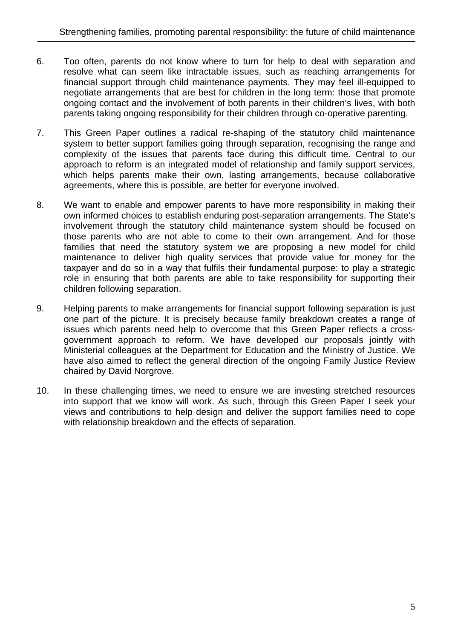- 6. Too often, parents do not know where to turn for help to deal with separation and resolve what can seem like intractable issues, such as reaching arrangements for financial support through child maintenance payments. They may feel ill-equipped to negotiate arrangements that are best for children in the long term: those that promote ongoing contact and the involvement of both parents in their children's lives, with both parents taking ongoing responsibility for their children through co-operative parenting.
- 7. This Green Paper outlines a radical re-shaping of the statutory child maintenance system to better support families going through separation, recognising the range and complexity of the issues that parents face during this difficult time. Central to our approach to reform is an integrated model of relationship and family support services, which helps parents make their own, lasting arrangements, because collaborative agreements, where this is possible, are better for everyone involved.
- 8. We want to enable and empower parents to have more responsibility in making their own informed choices to establish enduring post-separation arrangements. The State's involvement through the statutory child maintenance system should be focused on those parents who are not able to come to their own arrangement. And for those families that need the statutory system we are proposing a new model for child maintenance to deliver high quality services that provide value for money for the taxpayer and do so in a way that fulfils their fundamental purpose: to play a strategic role in ensuring that both parents are able to take responsibility for supporting their children following separation.
- 9. Helping parents to make arrangements for financial support following separation is just one part of the picture. It is precisely because family breakdown creates a range of issues which parents need help to overcome that this Green Paper reflects a crossgovernment approach to reform. We have developed our proposals jointly with Ministerial colleagues at the Department for Education and the Ministry of Justice. We have also aimed to reflect the general direction of the ongoing Family Justice Review chaired by David Norgrove.
- 10. In these challenging times, we need to ensure we are investing stretched resources into support that we know will work. As such, through this Green Paper I seek your views and contributions to help design and deliver the support families need to cope with relationship breakdown and the effects of separation.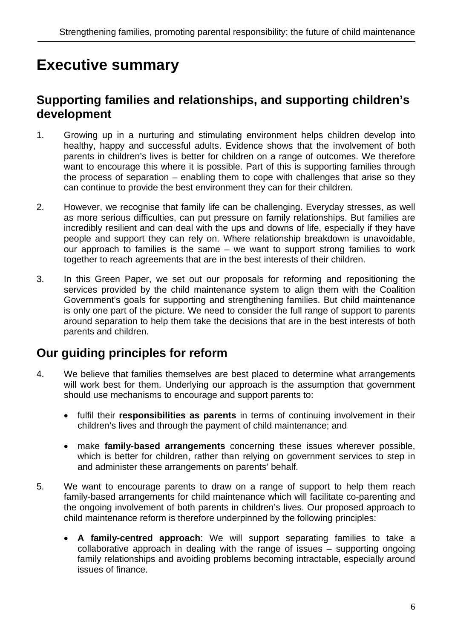# **Executive summary**

#### **Supporting families and relationships, and supporting children's development**

- 1. Growing up in a nurturing and stimulating environment helps children develop into healthy, happy and successful adults. Evidence shows that the involvement of both parents in children's lives is better for children on a range of outcomes. We therefore want to encourage this where it is possible. Part of this is supporting families through the process of separation – enabling them to cope with challenges that arise so they can continue to provide the best environment they can for their children.
- 2. However, we recognise that family life can be challenging. Everyday stresses, as well as more serious difficulties, can put pressure on family relationships. But families are incredibly resilient and can deal with the ups and downs of life, especially if they have people and support they can rely on. Where relationship breakdown is unavoidable, our approach to families is the same – we want to support strong families to work together to reach agreements that are in the best interests of their children.
- 3. In this Green Paper, we set out our proposals for reforming and repositioning the services provided by the child maintenance system to align them with the Coalition Government's goals for supporting and strengthening families. But child maintenance is only one part of the picture. We need to consider the full range of support to parents around separation to help them take the decisions that are in the best interests of both parents and children.

#### **Our guiding principles for reform**

- 4. We believe that families themselves are best placed to determine what arrangements will work best for them. Underlying our approach is the assumption that government should use mechanisms to encourage and support parents to:
	- fulfil their **responsibilities as parents** in terms of continuing involvement in their children's lives and through the payment of child maintenance; and
	- make **family-based arrangements** concerning these issues wherever possible, which is better for children, rather than relying on government services to step in and administer these arrangements on parents' behalf.
- 5. We want to encourage parents to draw on a range of support to help them reach family-based arrangements for child maintenance which will facilitate co-parenting and the ongoing involvement of both parents in children's lives. Our proposed approach to child maintenance reform is therefore underpinned by the following principles:
	- **A family-centred approach**: We will support separating families to take a collaborative approach in dealing with the range of issues – supporting ongoing family relationships and avoiding problems becoming intractable, especially around issues of finance.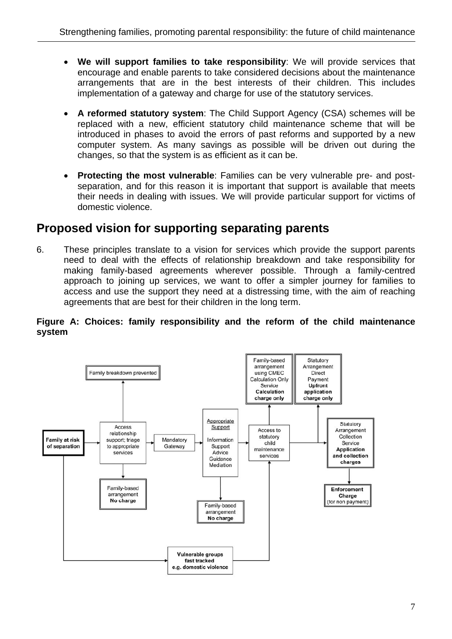- **We will support families to take responsibility**: We will provide services that encourage and enable parents to take considered decisions about the maintenance arrangements that are in the best interests of their children. This includes implementation of a gateway and charge for use of the statutory services.
- **A reformed statutory system**: The Child Support Agency (CSA) schemes will be replaced with a new, efficient statutory child maintenance scheme that will be introduced in phases to avoid the errors of past reforms and supported by a new computer system. As many savings as possible will be driven out during the changes, so that the system is as efficient as it can be.
- **Protecting the most vulnerable**: Families can be very vulnerable pre- and postseparation, and for this reason it is important that support is available that meets their needs in dealing with issues. We will provide particular support for victims of domestic violence.

#### **Proposed vision for supporting separating parents**

6. These principles translate to a vision for services which provide the support parents need to deal with the effects of relationship breakdown and take responsibility for making family-based agreements wherever possible. Through a family-centred approach to joining up services, we want to offer a simpler journey for families to access and use the support they need at a distressing time, with the aim of reaching agreements that are best for their children in the long term.

#### **Figure A: Choices: family responsibility and the reform of the child maintenance system**

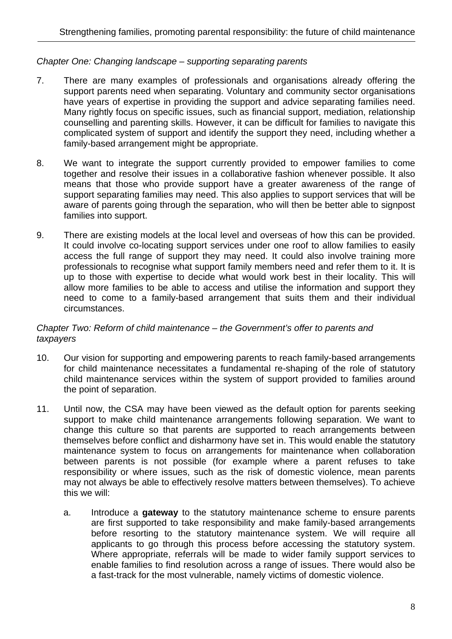#### *Chapter One: Changing landscape – supporting separating parents*

- 7. There are many examples of professionals and organisations already offering the support parents need when separating. Voluntary and community sector organisations have years of expertise in providing the support and advice separating families need. Many rightly focus on specific issues, such as financial support, mediation, relationship counselling and parenting skills. However, it can be difficult for families to navigate this complicated system of support and identify the support they need, including whether a family-based arrangement might be appropriate.
- 8. We want to integrate the support currently provided to empower families to come together and resolve their issues in a collaborative fashion whenever possible. It also means that those who provide support have a greater awareness of the range of support separating families may need. This also applies to support services that will be aware of parents going through the separation, who will then be better able to signpost families into support.
- 9. There are existing models at the local level and overseas of how this can be provided. It could involve co-locating support services under one roof to allow families to easily access the full range of support they may need. It could also involve training more professionals to recognise what support family members need and refer them to it. It is up to those with expertise to decide what would work best in their locality. This will allow more families to be able to access and utilise the information and support they need to come to a family-based arrangement that suits them and their individual circumstances.

#### *Chapter Two: Reform of child maintenance – the Government's offer to parents and taxpayers*

- 10. Our vision for supporting and empowering parents to reach family-based arrangements for child maintenance necessitates a fundamental re-shaping of the role of statutory child maintenance services within the system of support provided to families around the point of separation.
- 11. Until now, the CSA may have been viewed as the default option for parents seeking support to make child maintenance arrangements following separation. We want to change this culture so that parents are supported to reach arrangements between themselves before conflict and disharmony have set in. This would enable the statutory maintenance system to focus on arrangements for maintenance when collaboration between parents is not possible (for example where a parent refuses to take responsibility or where issues, such as the risk of domestic violence, mean parents may not always be able to effectively resolve matters between themselves). To achieve this we will:
	- a. Introduce a **gateway** to the statutory maintenance scheme to ensure parents are first supported to take responsibility and make family-based arrangements before resorting to the statutory maintenance system. We will require all applicants to go through this process before accessing the statutory system. Where appropriate, referrals will be made to wider family support services to enable families to find resolution across a range of issues. There would also be a fast-track for the most vulnerable, namely victims of domestic violence.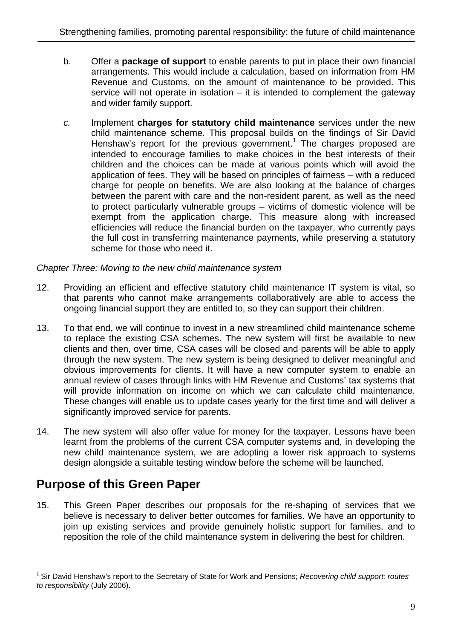- b. Offer a **package of support** to enable parents to put in place their own financial arrangements. This would include a calculation, based on information from HM Revenue and Customs, on the amount of maintenance to be provided. This service will not operate in isolation  $-$  it is intended to complement the gateway and wider family support.
- *c.* Implement **charges for statutory child maintenance** services under the new child maintenance scheme. This proposal builds on the findings of Sir David Henshaw's report for the previous government.<sup>1</sup> The charges proposed are intended to encourage families to make choices in the best interests of their children and the choices can be made at various points which will avoid the application of fees. They will be based on principles of fairness – with a reduced charge for people on benefits. We are also looking at the balance of charges between the parent with care and the non-resident parent, as well as the need to protect particularly vulnerable groups – victims of domestic violence will be exempt from the application charge. This measure along with increased efficiencies will reduce the financial burden on the taxpayer, who currently pays the full cost in transferring maintenance payments, while preserving a statutory scheme for those who need it.

#### *Chapter Three: Moving to the new child maintenance system*

- 12. Providing an efficient and effective statutory child maintenance IT system is vital, so that parents who cannot make arrangements collaboratively are able to access the ongoing financial support they are entitled to, so they can support their children.
- 13. To that end, we will continue to invest in a new streamlined child maintenance scheme to replace the existing CSA schemes. The new system will first be available to new clients and then, over time, CSA cases will be closed and parents will be able to apply through the new system. The new system is being designed to deliver meaningful and obvious improvements for clients. It will have a new computer system to enable an annual review of cases through links with HM Revenue and Customs' tax systems that will provide information on income on which we can calculate child maintenance. These changes will enable us to update cases yearly for the first time and will deliver a significantly improved service for parents.
- 14. The new system will also offer value for money for the taxpayer. Lessons have been learnt from the problems of the current CSA computer systems and, in developing the new child maintenance system, we are adopting a lower risk approach to systems design alongside a suitable testing window before the scheme will be launched.

#### **Purpose of this Green Paper**

 $\overline{a}$ 

15. This Green Paper describes our proposals for the re-shaping of services that we believe is necessary to deliver better outcomes for families. We have an opportunity to join up existing services and provide genuinely holistic support for families, and to reposition the role of the child maintenance system in delivering the best for children.

<sup>1</sup> Sir David Henshaw's report to the Secretary of State for Work and Pensions; *Recovering child support: routes to responsibility* (July 2006).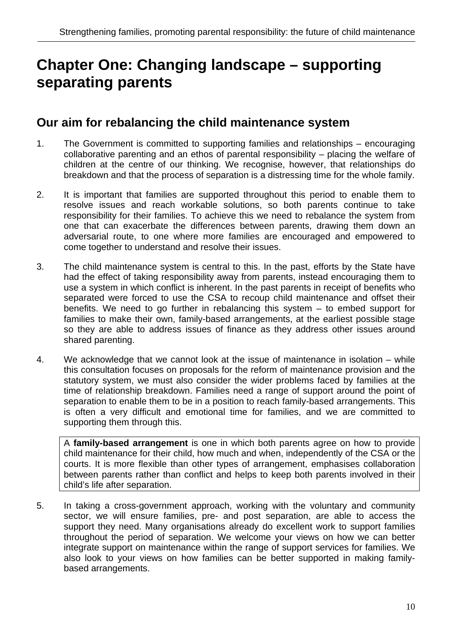# **Chapter One: Changing landscape – supporting separating parents**

#### **Our aim for rebalancing the child maintenance system**

- 1. The Government is committed to supporting families and relationships encouraging collaborative parenting and an ethos of parental responsibility – placing the welfare of children at the centre of our thinking. We recognise, however, that relationships do breakdown and that the process of separation is a distressing time for the whole family.
- 2. It is important that families are supported throughout this period to enable them to resolve issues and reach workable solutions, so both parents continue to take responsibility for their families. To achieve this we need to rebalance the system from one that can exacerbate the differences between parents, drawing them down an adversarial route, to one where more families are encouraged and empowered to come together to understand and resolve their issues.
- 3. The child maintenance system is central to this. In the past, efforts by the State have had the effect of taking responsibility away from parents, instead encouraging them to use a system in which conflict is inherent. In the past parents in receipt of benefits who separated were forced to use the CSA to recoup child maintenance and offset their benefits. We need to go further in rebalancing this system – to embed support for families to make their own, family-based arrangements, at the earliest possible stage so they are able to address issues of finance as they address other issues around shared parenting.
- 4. We acknowledge that we cannot look at the issue of maintenance in isolation while this consultation focuses on proposals for the reform of maintenance provision and the statutory system, we must also consider the wider problems faced by families at the time of relationship breakdown. Families need a range of support around the point of separation to enable them to be in a position to reach family-based arrangements. This is often a very difficult and emotional time for families, and we are committed to supporting them through this.

A **family-based arrangement** is one in which both parents agree on how to provide child maintenance for their child, how much and when, independently of the CSA or the courts. It is more flexible than other types of arrangement, emphasises collaboration between parents rather than conflict and helps to keep both parents involved in their child's life after separation.

5. In taking a cross-government approach, working with the voluntary and community sector, we will ensure families, pre- and post separation, are able to access the support they need. Many organisations already do excellent work to support families throughout the period of separation. We welcome your views on how we can better integrate support on maintenance within the range of support services for families. We also look to your views on how families can be better supported in making familybased arrangements.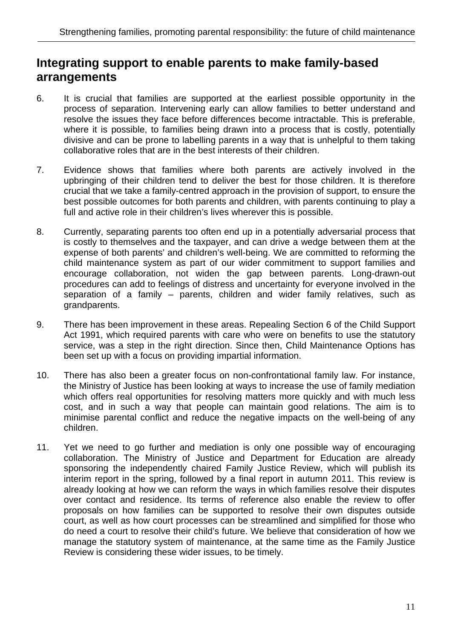#### **Integrating support to enable parents to make family-based arrangements**

- 6. It is crucial that families are supported at the earliest possible opportunity in the process of separation. Intervening early can allow families to better understand and resolve the issues they face before differences become intractable. This is preferable, where it is possible, to families being drawn into a process that is costly, potentially divisive and can be prone to labelling parents in a way that is unhelpful to them taking collaborative roles that are in the best interests of their children.
- 7. Evidence shows that families where both parents are actively involved in the upbringing of their children tend to deliver the best for those children. It is therefore crucial that we take a family-centred approach in the provision of support, to ensure the best possible outcomes for both parents and children, with parents continuing to play a full and active role in their children's lives wherever this is possible.
- 8. Currently, separating parents too often end up in a potentially adversarial process that is costly to themselves and the taxpayer, and can drive a wedge between them at the expense of both parents' and children's well-being. We are committed to reforming the child maintenance system as part of our wider commitment to support families and encourage collaboration, not widen the gap between parents. Long-drawn-out procedures can add to feelings of distress and uncertainty for everyone involved in the separation of a family – parents, children and wider family relatives, such as grandparents.
- 9. There has been improvement in these areas. Repealing Section 6 of the Child Support Act 1991, which required parents with care who were on benefits to use the statutory service, was a step in the right direction. Since then, Child Maintenance Options has been set up with a focus on providing impartial information.
- 10. There has also been a greater focus on non-confrontational family law. For instance, the Ministry of Justice has been looking at ways to increase the use of family mediation which offers real opportunities for resolving matters more quickly and with much less cost, and in such a way that people can maintain good relations. The aim is to minimise parental conflict and reduce the negative impacts on the well-being of any children.
- 11. Yet we need to go further and mediation is only one possible way of encouraging collaboration. The Ministry of Justice and Department for Education are already sponsoring the independently chaired Family Justice Review, which will publish its interim report in the spring, followed by a final report in autumn 2011. This review is already looking at how we can reform the ways in which families resolve their disputes over contact and residence. Its terms of reference also enable the review to offer proposals on how families can be supported to resolve their own disputes outside court, as well as how court processes can be streamlined and simplified for those who do need a court to resolve their child's future. We believe that consideration of how we manage the statutory system of maintenance, at the same time as the Family Justice Review is considering these wider issues, to be timely.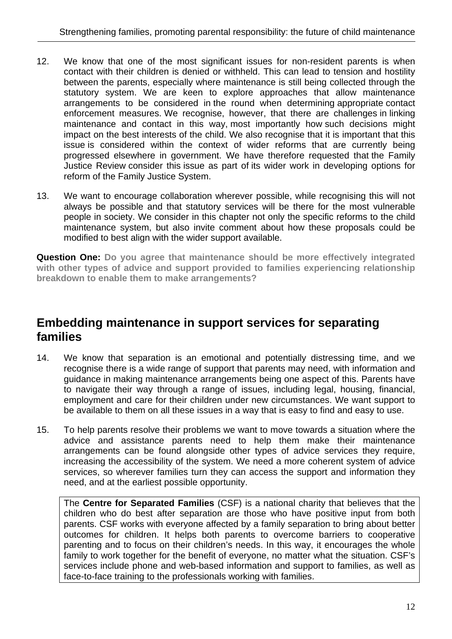- 12. We know that one of the most significant issues for non-resident parents is when contact with their children is denied or withheld. This can lead to tension and hostility between the parents, especially where maintenance is still being collected through the statutory system. We are keen to explore approaches that allow maintenance arrangements to be considered in the round when determining appropriate contact enforcement measures. We recognise, however, that there are challenges in linking maintenance and contact in this way, most importantly how such decisions might impact on the best interests of the child. We also recognise that it is important that this issue is considered within the context of wider reforms that are currently being progressed elsewhere in government. We have therefore requested that the Family Justice Review consider this issue as part of its wider work in developing options for reform of the Family Justice System.
- 13. We want to encourage collaboration wherever possible, while recognising this will not always be possible and that statutory services will be there for the most vulnerable people in society. We consider in this chapter not only the specific reforms to the child maintenance system, but also invite comment about how these proposals could be modified to best align with the wider support available.

**Question One: Do you agree that maintenance should be more effectively integrated with other types of advice and support provided to families experiencing relationship breakdown to enable them to make arrangements?**

#### **Embedding maintenance in support services for separating families**

- 14. We know that separation is an emotional and potentially distressing time, and we recognise there is a wide range of support that parents may need, with information and guidance in making maintenance arrangements being one aspect of this. Parents have to navigate their way through a range of issues, including legal, housing, financial, employment and care for their children under new circumstances. We want support to be available to them on all these issues in a way that is easy to find and easy to use.
- 15. To help parents resolve their problems we want to move towards a situation where the advice and assistance parents need to help them make their maintenance arrangements can be found alongside other types of advice services they require, increasing the accessibility of the system. We need a more coherent system of advice services, so wherever families turn they can access the support and information they need, and at the earliest possible opportunity.

The **Centre for Separated Families** (CSF) is a national charity that believes that the children who do best after separation are those who have positive input from both parents. CSF works with everyone affected by a family separation to bring about better outcomes for children. It helps both parents to overcome barriers to cooperative parenting and to focus on their children's needs. In this way, it encourages the whole family to work together for the benefit of everyone, no matter what the situation. CSF's services include phone and web-based information and support to families, as well as face-to-face training to the professionals working with families.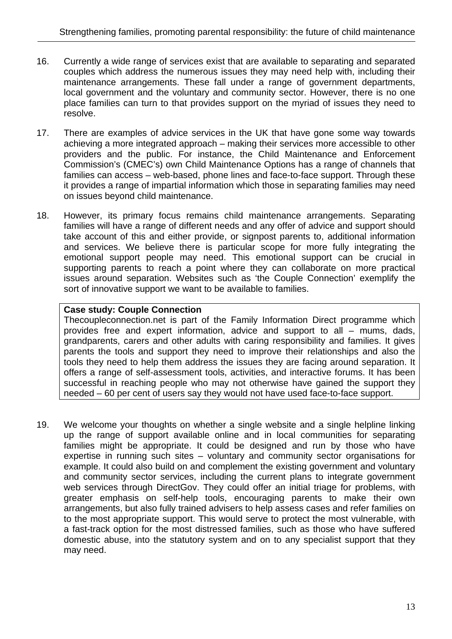- 16. Currently a wide range of services exist that are available to separating and separated couples which address the numerous issues they may need help with, including their maintenance arrangements. These fall under a range of government departments, local government and the voluntary and community sector. However, there is no one place families can turn to that provides support on the myriad of issues they need to resolve.
- 17. There are examples of advice services in the UK that have gone some way towards achieving a more integrated approach – making their services more accessible to other providers and the public. For instance, the Child Maintenance and Enforcement Commission's (CMEC's) own Child Maintenance Options has a range of channels that families can access – web-based, phone lines and face-to-face support. Through these it provides a range of impartial information which those in separating families may need on issues beyond child maintenance.
- 18. However, its primary focus remains child maintenance arrangements. Separating families will have a range of different needs and any offer of advice and support should take account of this and either provide, or signpost parents to, additional information and services. We believe there is particular scope for more fully integrating the emotional support people may need. This emotional support can be crucial in supporting parents to reach a point where they can collaborate on more practical issues around separation. Websites such as 'the Couple Connection' exemplify the sort of innovative support we want to be available to families.

#### **Case study: Couple Connection**

Thecoupleconnection.net is part of the Family Information Direct programme which provides free and expert information, advice and support to all – mums, dads, grandparents, carers and other adults with caring responsibility and families. It gives parents the tools and support they need to improve their relationships and also the tools they need to help them address the issues they are facing around separation. It offers a range of self-assessment tools, activities, and interactive forums. It has been successful in reaching people who may not otherwise have gained the support they needed – 60 per cent of users say they would not have used face-to-face support.

19. We welcome your thoughts on whether a single website and a single helpline linking up the range of support available online and in local communities for separating families might be appropriate. It could be designed and run by those who have expertise in running such sites – voluntary and community sector organisations for example. It could also build on and complement the existing government and voluntary and community sector services, including the current plans to integrate government web services through DirectGov. They could offer an initial triage for problems, with greater emphasis on self-help tools, encouraging parents to make their own arrangements, but also fully trained advisers to help assess cases and refer families on to the most appropriate support. This would serve to protect the most vulnerable, with a fast-track option for the most distressed families, such as those who have suffered domestic abuse, into the statutory system and on to any specialist support that they may need.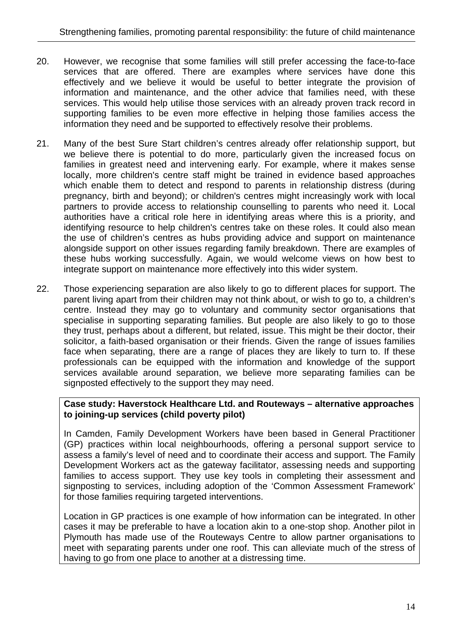- 20. However, we recognise that some families will still prefer accessing the face-to-face services that are offered. There are examples where services have done this effectively and we believe it would be useful to better integrate the provision of information and maintenance, and the other advice that families need, with these services. This would help utilise those services with an already proven track record in supporting families to be even more effective in helping those families access the information they need and be supported to effectively resolve their problems.
- 21. Many of the best Sure Start children's centres already offer relationship support, but we believe there is potential to do more, particularly given the increased focus on families in greatest need and intervening early. For example, where it makes sense locally, more children's centre staff might be trained in evidence based approaches which enable them to detect and respond to parents in relationship distress (during pregnancy, birth and beyond); or children's centres might increasingly work with local partners to provide access to relationship counselling to parents who need it. Local authorities have a critical role here in identifying areas where this is a priority, and identifying resource to help children's centres take on these roles. It could also mean the use of children's centres as hubs providing advice and support on maintenance alongside support on other issues regarding family breakdown. There are examples of these hubs working successfully. Again, we would welcome views on how best to integrate support on maintenance more effectively into this wider system.
- 22. Those experiencing separation are also likely to go to different places for support. The parent living apart from their children may not think about, or wish to go to, a children's centre. Instead they may go to voluntary and community sector organisations that specialise in supporting separating families. But people are also likely to go to those they trust, perhaps about a different, but related, issue. This might be their doctor, their solicitor, a faith-based organisation or their friends. Given the range of issues families face when separating, there are a range of places they are likely to turn to. If these professionals can be equipped with the information and knowledge of the support services available around separation, we believe more separating families can be signposted effectively to the support they may need.

#### **Case study: Haverstock Healthcare Ltd. and Routeways – alternative approaches to joining-up services (child poverty pilot)**

In Camden, Family Development Workers have been based in General Practitioner (GP) practices within local neighbourhoods, offering a personal support service to assess a family's level of need and to coordinate their access and support. The Family Development Workers act as the gateway facilitator, assessing needs and supporting families to access support. They use key tools in completing their assessment and signposting to services, including adoption of the 'Common Assessment Framework' for those families requiring targeted interventions.

Location in GP practices is one example of how information can be integrated. In other cases it may be preferable to have a location akin to a one-stop shop. Another pilot in Plymouth has made use of the Routeways Centre to allow partner organisations to meet with separating parents under one roof. This can alleviate much of the stress of having to go from one place to another at a distressing time.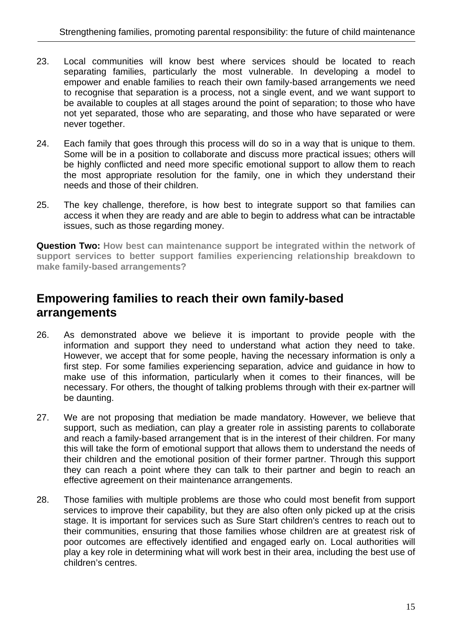- 23. Local communities will know best where services should be located to reach separating families, particularly the most vulnerable. In developing a model to empower and enable families to reach their own family-based arrangements we need to recognise that separation is a process, not a single event, and we want support to be available to couples at all stages around the point of separation; to those who have not yet separated, those who are separating, and those who have separated or were never together.
- 24. Each family that goes through this process will do so in a way that is unique to them. Some will be in a position to collaborate and discuss more practical issues; others will be highly conflicted and need more specific emotional support to allow them to reach the most appropriate resolution for the family, one in which they understand their needs and those of their children.
- 25. The key challenge, therefore, is how best to integrate support so that families can access it when they are ready and are able to begin to address what can be intractable issues, such as those regarding money.

**Question Two: How best can maintenance support be integrated within the network of support services to better support families experiencing relationship breakdown to make family-based arrangements?**

#### **Empowering families to reach their own family-based arrangements**

- 26. As demonstrated above we believe it is important to provide people with the information and support they need to understand what action they need to take. However, we accept that for some people, having the necessary information is only a first step. For some families experiencing separation, advice and guidance in how to make use of this information, particularly when it comes to their finances, will be necessary. For others, the thought of talking problems through with their ex-partner will be daunting.
- 27. We are not proposing that mediation be made mandatory. However, we believe that support, such as mediation, can play a greater role in assisting parents to collaborate and reach a family-based arrangement that is in the interest of their children. For many this will take the form of emotional support that allows them to understand the needs of their children and the emotional position of their former partner. Through this support they can reach a point where they can talk to their partner and begin to reach an effective agreement on their maintenance arrangements.
- 28. Those families with multiple problems are those who could most benefit from support services to improve their capability, but they are also often only picked up at the crisis stage. It is important for services such as Sure Start children's centres to reach out to their communities, ensuring that those families whose children are at greatest risk of poor outcomes are effectively identified and engaged early on. Local authorities will play a key role in determining what will work best in their area, including the best use of children's centres.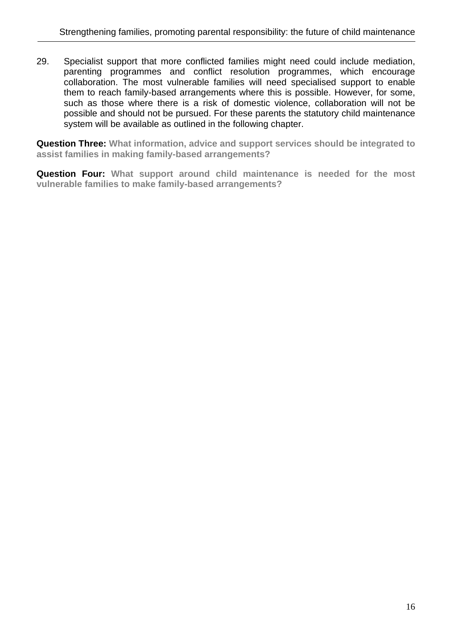29. Specialist support that more conflicted families might need could include mediation, parenting programmes and conflict resolution programmes, which encourage collaboration. The most vulnerable families will need specialised support to enable them to reach family-based arrangements where this is possible. However, for some, such as those where there is a risk of domestic violence, collaboration will not be possible and should not be pursued. For these parents the statutory child maintenance system will be available as outlined in the following chapter.

**Question Three: What information, advice and support services should be integrated to assist families in making family-based arrangements?** 

**Question Four: What support around child maintenance is needed for the most vulnerable families to make family-based arrangements?**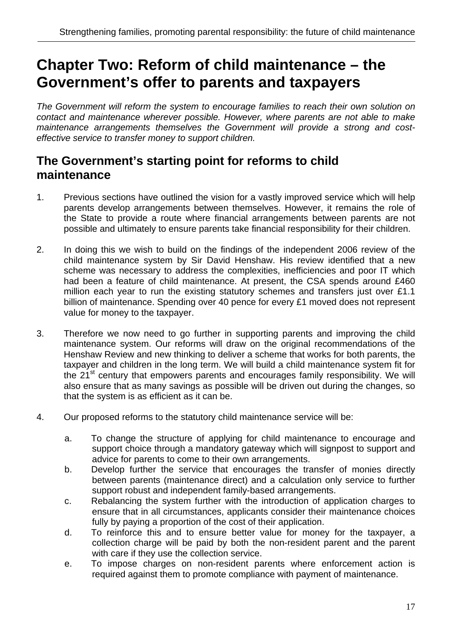# **Chapter Two: Reform of child maintenance – the Government's offer to parents and taxpayers**

*The Government will reform the system to encourage families to reach their own solution on contact and maintenance wherever possible. However, where parents are not able to make maintenance arrangements themselves the Government will provide a strong and costeffective service to transfer money to support children.* 

#### **The Government's starting point for reforms to child maintenance**

- 1. Previous sections have outlined the vision for a vastly improved service which will help parents develop arrangements between themselves. However, it remains the role of the State to provide a route where financial arrangements between parents are not possible and ultimately to ensure parents take financial responsibility for their children.
- 2. In doing this we wish to build on the findings of the independent 2006 review of the child maintenance system by Sir David Henshaw. His review identified that a new scheme was necessary to address the complexities, inefficiencies and poor IT which had been a feature of child maintenance. At present, the CSA spends around £460 million each year to run the existing statutory schemes and transfers just over £1.1 billion of maintenance. Spending over 40 pence for every £1 moved does not represent value for money to the taxpayer.
- 3. Therefore we now need to go further in supporting parents and improving the child maintenance system. Our reforms will draw on the original recommendations of the Henshaw Review and new thinking to deliver a scheme that works for both parents, the taxpayer and children in the long term. We will build a child maintenance system fit for the 21<sup>st</sup> century that empowers parents and encourages family responsibility. We will also ensure that as many savings as possible will be driven out during the changes, so that the system is as efficient as it can be.
- 4. Our proposed reforms to the statutory child maintenance service will be:
	- a. To change the structure of applying for child maintenance to encourage and support choice through a mandatory gateway which will signpost to support and advice for parents to come to their own arrangements.
	- b. Develop further the service that encourages the transfer of monies directly between parents (maintenance direct) and a calculation only service to further support robust and independent family-based arrangements.
	- c. Rebalancing the system further with the introduction of application charges to ensure that in all circumstances, applicants consider their maintenance choices fully by paying a proportion of the cost of their application.
	- d. To reinforce this and to ensure better value for money for the taxpayer, a collection charge will be paid by both the non-resident parent and the parent with care if they use the collection service.
	- e. To impose charges on non-resident parents where enforcement action is required against them to promote compliance with payment of maintenance.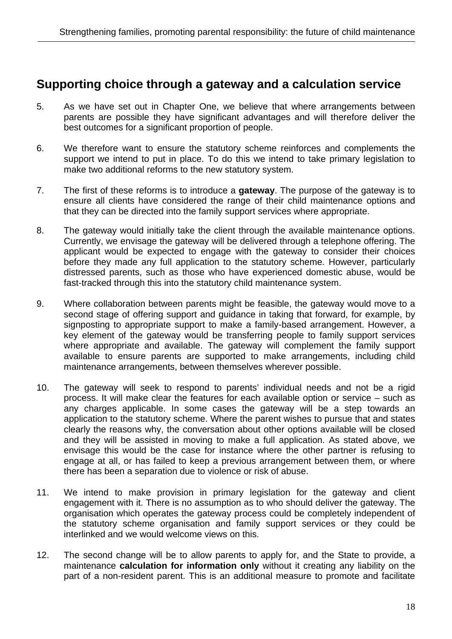#### **Supporting choice through a gateway and a calculation service**

- 5. As we have set out in Chapter One, we believe that where arrangements between parents are possible they have significant advantages and will therefore deliver the best outcomes for a significant proportion of people.
- 6. We therefore want to ensure the statutory scheme reinforces and complements the support we intend to put in place. To do this we intend to take primary legislation to make two additional reforms to the new statutory system.
- 7. The first of these reforms is to introduce a **gateway**. The purpose of the gateway is to ensure all clients have considered the range of their child maintenance options and that they can be directed into the family support services where appropriate.
- 8. The gateway would initially take the client through the available maintenance options. Currently, we envisage the gateway will be delivered through a telephone offering. The applicant would be expected to engage with the gateway to consider their choices before they made any full application to the statutory scheme. However, particularly distressed parents, such as those who have experienced domestic abuse, would be fast-tracked through this into the statutory child maintenance system.
- 9. Where collaboration between parents might be feasible, the gateway would move to a second stage of offering support and guidance in taking that forward, for example, by signposting to appropriate support to make a family-based arrangement. However, a key element of the gateway would be transferring people to family support services where appropriate and available. The gateway will complement the family support available to ensure parents are supported to make arrangements, including child maintenance arrangements, between themselves wherever possible.
- 10. The gateway will seek to respond to parents' individual needs and not be a rigid process. It will make clear the features for each available option or service – such as any charges applicable. In some cases the gateway will be a step towards an application to the statutory scheme. Where the parent wishes to pursue that and states clearly the reasons why, the conversation about other options available will be closed and they will be assisted in moving to make a full application. As stated above, we envisage this would be the case for instance where the other partner is refusing to engage at all, or has failed to keep a previous arrangement between them, or where there has been a separation due to violence or risk of abuse.
- 11. We intend to make provision in primary legislation for the gateway and client engagement with it. There is no assumption as to who should deliver the gateway. The organisation which operates the gateway process could be completely independent of the statutory scheme organisation and family support services or they could be interlinked and we would welcome views on this.
- 12. The second change will be to allow parents to apply for, and the State to provide, a maintenance **calculation for information only** without it creating any liability on the part of a non-resident parent. This is an additional measure to promote and facilitate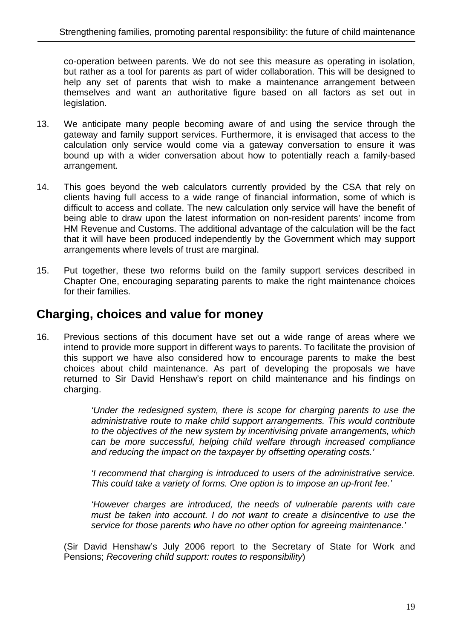co-operation between parents. We do not see this measure as operating in isolation, but rather as a tool for parents as part of wider collaboration. This will be designed to help any set of parents that wish to make a maintenance arrangement between themselves and want an authoritative figure based on all factors as set out in legislation.

- 13. We anticipate many people becoming aware of and using the service through the gateway and family support services. Furthermore, it is envisaged that access to the calculation only service would come via a gateway conversation to ensure it was bound up with a wider conversation about how to potentially reach a family-based arrangement.
- 14. This goes beyond the web calculators currently provided by the CSA that rely on clients having full access to a wide range of financial information, some of which is difficult to access and collate. The new calculation only service will have the benefit of being able to draw upon the latest information on non-resident parents' income from HM Revenue and Customs. The additional advantage of the calculation will be the fact that it will have been produced independently by the Government which may support arrangements where levels of trust are marginal.
- 15. Put together, these two reforms build on the family support services described in Chapter One, encouraging separating parents to make the right maintenance choices for their families.

#### **Charging, choices and value for money**

16. Previous sections of this document have set out a wide range of areas where we intend to provide more support in different ways to parents. To facilitate the provision of this support we have also considered how to encourage parents to make the best choices about child maintenance. As part of developing the proposals we have returned to Sir David Henshaw's report on child maintenance and his findings on charging.

> *'Under the redesigned system, there is scope for charging parents to use the administrative route to make child support arrangements. This would contribute to the objectives of the new system by incentivising private arrangements, which can be more successful, helping child welfare through increased compliance and reducing the impact on the taxpayer by offsetting operating costs.'*

> *'I recommend that charging is introduced to users of the administrative service. This could take a variety of forms. One option is to impose an up-front fee.'*

> *'However charges are introduced, the needs of vulnerable parents with care must be taken into account. I do not want to create a disincentive to use the service for those parents who have no other option for agreeing maintenance.'*

(Sir David Henshaw's July 2006 report to the Secretary of State for Work and Pensions; *Recovering child support: routes to responsibility*)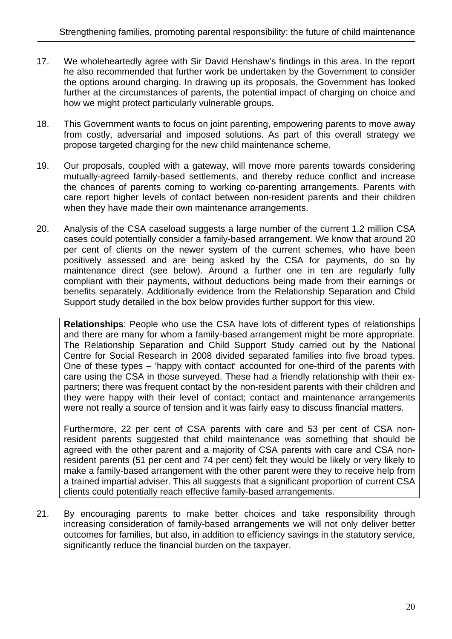- 17. We wholeheartedly agree with Sir David Henshaw's findings in this area. In the report he also recommended that further work be undertaken by the Government to consider the options around charging. In drawing up its proposals, the Government has looked further at the circumstances of parents, the potential impact of charging on choice and how we might protect particularly vulnerable groups.
- 18. This Government wants to focus on joint parenting, empowering parents to move away from costly, adversarial and imposed solutions. As part of this overall strategy we propose targeted charging for the new child maintenance scheme.
- 19. Our proposals, coupled with a gateway, will move more parents towards considering mutually-agreed family-based settlements, and thereby reduce conflict and increase the chances of parents coming to working co-parenting arrangements. Parents with care report higher levels of contact between non-resident parents and their children when they have made their own maintenance arrangements.
- 20. Analysis of the CSA caseload suggests a large number of the current 1.2 million CSA cases could potentially consider a family-based arrangement. We know that around 20 per cent of clients on the newer system of the current schemes, who have been positively assessed and are being asked by the CSA for payments, do so by maintenance direct (see below). Around a further one in ten are regularly fully compliant with their payments, without deductions being made from their earnings or benefits separately. Additionally evidence from the Relationship Separation and Child Support study detailed in the box below provides further support for this view.

**Relationships**: People who use the CSA have lots of different types of relationships and there are many for whom a family-based arrangement might be more appropriate. The Relationship Separation and Child Support Study carried out by the National Centre for Social Research in 2008 divided separated families into five broad types. One of these types – 'happy with contact' accounted for one-third of the parents with care using the CSA in those surveyed. These had a friendly relationship with their expartners; there was frequent contact by the non-resident parents with their children and they were happy with their level of contact; contact and maintenance arrangements were not really a source of tension and it was fairly easy to discuss financial matters.

Furthermore, 22 per cent of CSA parents with care and 53 per cent of CSA nonresident parents suggested that child maintenance was something that should be agreed with the other parent and a majority of CSA parents with care and CSA nonresident parents (51 per cent and 74 per cent) felt they would be likely or very likely to make a family-based arrangement with the other parent were they to receive help from a trained impartial adviser. This all suggests that a significant proportion of current CSA clients could potentially reach effective family-based arrangements.

21. By encouraging parents to make better choices and take responsibility through increasing consideration of family-based arrangements we will not only deliver better outcomes for families, but also, in addition to efficiency savings in the statutory service, significantly reduce the financial burden on the taxpayer.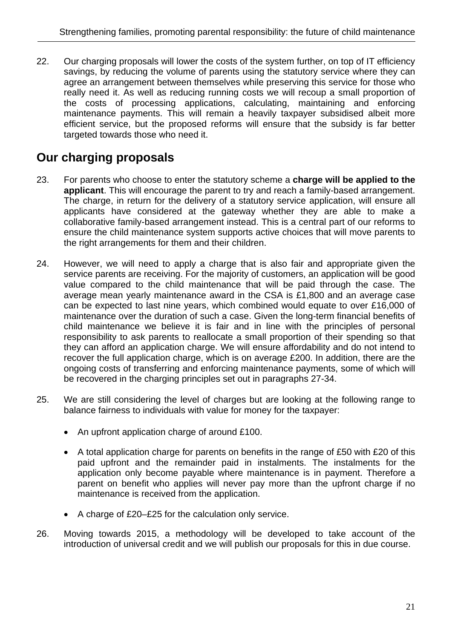22. Our charging proposals will lower the costs of the system further, on top of IT efficiency savings, by reducing the volume of parents using the statutory service where they can agree an arrangement between themselves while preserving this service for those who really need it. As well as reducing running costs we will recoup a small proportion of the costs of processing applications, calculating, maintaining and enforcing maintenance payments. This will remain a heavily taxpayer subsidised albeit more efficient service, but the proposed reforms will ensure that the subsidy is far better targeted towards those who need it.

#### **Our charging proposals**

- 23. For parents who choose to enter the statutory scheme a **charge will be applied to the applicant**. This will encourage the parent to try and reach a family-based arrangement. The charge, in return for the delivery of a statutory service application, will ensure all applicants have considered at the gateway whether they are able to make a collaborative family-based arrangement instead. This is a central part of our reforms to ensure the child maintenance system supports active choices that will move parents to the right arrangements for them and their children.
- 24. However, we will need to apply a charge that is also fair and appropriate given the service parents are receiving. For the majority of customers, an application will be good value compared to the child maintenance that will be paid through the case. The average mean yearly maintenance award in the CSA is £1,800 and an average case can be expected to last nine years, which combined would equate to over £16,000 of maintenance over the duration of such a case. Given the long-term financial benefits of child maintenance we believe it is fair and in line with the principles of personal responsibility to ask parents to reallocate a small proportion of their spending so that they can afford an application charge. We will ensure affordability and do not intend to recover the full application charge, which is on average £200. In addition, there are the ongoing costs of transferring and enforcing maintenance payments, some of which will be recovered in the charging principles set out in paragraphs 27-34.
- 25. We are still considering the level of charges but are looking at the following range to balance fairness to individuals with value for money for the taxpayer:
	- An upfront application charge of around £100.
	- A total application charge for parents on benefits in the range of £50 with £20 of this paid upfront and the remainder paid in instalments. The instalments for the application only become payable where maintenance is in payment. Therefore a parent on benefit who applies will never pay more than the upfront charge if no maintenance is received from the application.
	- A charge of £20–£25 for the calculation only service.
- 26. Moving towards 2015, a methodology will be developed to take account of the introduction of universal credit and we will publish our proposals for this in due course.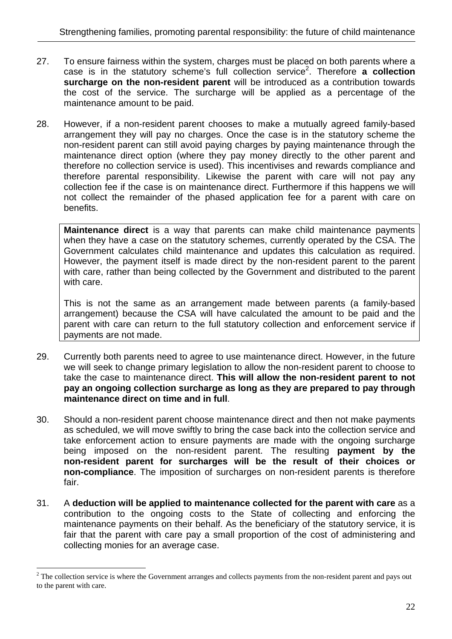- 27. To ensure fairness within the system, charges must be placed on both parents where a case is in the statutory scheme's full collection service<sup>2</sup>. Therefore **a collection surcharge on the non-resident parent** will be introduced as a contribution towards the cost of the service. The surcharge will be applied as a percentage of the maintenance amount to be paid.
- 28. However, if a non-resident parent chooses to make a mutually agreed family-based arrangement they will pay no charges. Once the case is in the statutory scheme the non-resident parent can still avoid paying charges by paying maintenance through the maintenance direct option (where they pay money directly to the other parent and therefore no collection service is used). This incentivises and rewards compliance and therefore parental responsibility. Likewise the parent with care will not pay any collection fee if the case is on maintenance direct. Furthermore if this happens we will not collect the remainder of the phased application fee for a parent with care on benefits.

**Maintenance direct** is a way that parents can make child maintenance payments when they have a case on the statutory schemes, currently operated by the CSA. The Government calculates child maintenance and updates this calculation as required. However, the payment itself is made direct by the non-resident parent to the parent with care, rather than being collected by the Government and distributed to the parent with care.

This is not the same as an arrangement made between parents (a family-based arrangement) because the CSA will have calculated the amount to be paid and the parent with care can return to the full statutory collection and enforcement service if payments are not made.

- 29. Currently both parents need to agree to use maintenance direct. However, in the future we will seek to change primary legislation to allow the non-resident parent to choose to take the case to maintenance direct. **This will allow the non-resident parent to not pay an ongoing collection surcharge as long as they are prepared to pay through maintenance direct on time and in full**.
- 30. Should a non-resident parent choose maintenance direct and then not make payments as scheduled, we will move swiftly to bring the case back into the collection service and take enforcement action to ensure payments are made with the ongoing surcharge being imposed on the non-resident parent. The resulting **payment by the non-resident parent for surcharges will be the result of their choices or non-compliance**. The imposition of surcharges on non-resident parents is therefore fair.
- 31. A **deduction will be applied to maintenance collected for the parent with care** as a contribution to the ongoing costs to the State of collecting and enforcing the maintenance payments on their behalf. As the beneficiary of the statutory service, it is fair that the parent with care pay a small proportion of the cost of administering and collecting monies for an average case.

 $\overline{a}$ 

 $2^2$  The collection service is where the Government arranges and collects payments from the non-resident parent and pays out to the parent with care.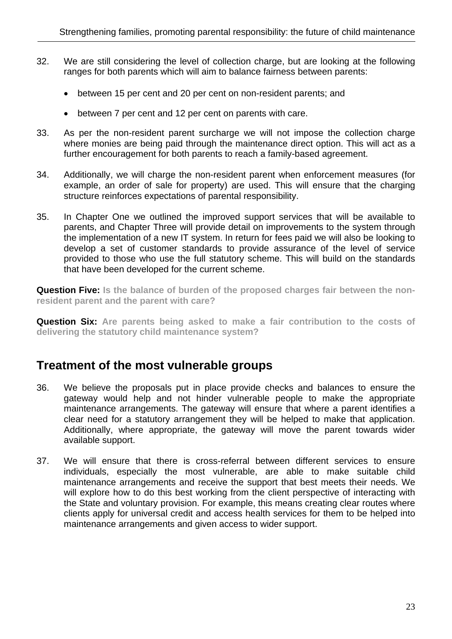- 32. We are still considering the level of collection charge, but are looking at the following ranges for both parents which will aim to balance fairness between parents:
	- between 15 per cent and 20 per cent on non-resident parents; and
	- between 7 per cent and 12 per cent on parents with care.
- 33. As per the non-resident parent surcharge we will not impose the collection charge where monies are being paid through the maintenance direct option. This will act as a further encouragement for both parents to reach a family-based agreement.
- 34. Additionally, we will charge the non-resident parent when enforcement measures (for example, an order of sale for property) are used. This will ensure that the charging structure reinforces expectations of parental responsibility.
- 35. In Chapter One we outlined the improved support services that will be available to parents, and Chapter Three will provide detail on improvements to the system through the implementation of a new IT system. In return for fees paid we will also be looking to develop a set of customer standards to provide assurance of the level of service provided to those who use the full statutory scheme. This will build on the standards that have been developed for the current scheme.

**Question Five:** Is the balance of burden of the proposed charges fair between the non**resident parent and the parent with care?** 

**Question Six: Are parents being asked to make a fair contribution to the costs of delivering the statutory child maintenance system?** 

#### **Treatment of the most vulnerable groups**

- 36. We believe the proposals put in place provide checks and balances to ensure the gateway would help and not hinder vulnerable people to make the appropriate maintenance arrangements. The gateway will ensure that where a parent identifies a clear need for a statutory arrangement they will be helped to make that application. Additionally, where appropriate, the gateway will move the parent towards wider available support.
- 37. We will ensure that there is cross-referral between different services to ensure individuals, especially the most vulnerable, are able to make suitable child maintenance arrangements and receive the support that best meets their needs. We will explore how to do this best working from the client perspective of interacting with the State and voluntary provision. For example, this means creating clear routes where clients apply for universal credit and access health services for them to be helped into maintenance arrangements and given access to wider support.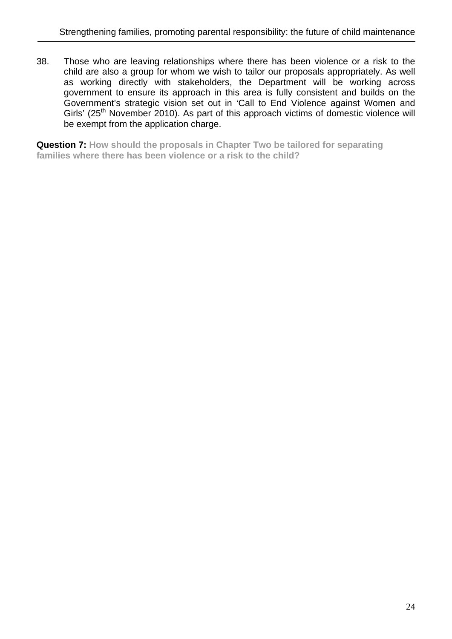38. Those who are leaving relationships where there has been violence or a risk to the child are also a group for whom we wish to tailor our proposals appropriately. As well as working directly with stakeholders, the Department will be working across government to ensure its approach in this area is fully consistent and builds on the Government's strategic vision set out in 'Call to End Violence against Women and Girls' (25<sup>th</sup> November 2010). As part of this approach victims of domestic violence will be exempt from the application charge.

**Question 7: How should the proposals in Chapter Two be tailored for separating families where there has been violence or a risk to the child?**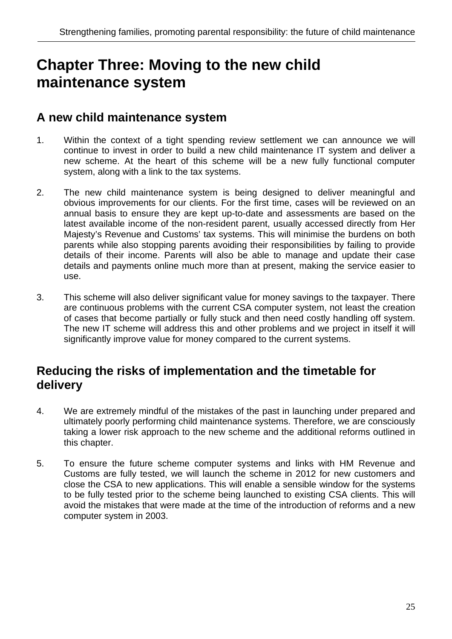# **Chapter Three: Moving to the new child maintenance system**

#### **A new child maintenance system**

- 1. Within the context of a tight spending review settlement we can announce we will continue to invest in order to build a new child maintenance IT system and deliver a new scheme. At the heart of this scheme will be a new fully functional computer system, along with a link to the tax systems.
- 2. The new child maintenance system is being designed to deliver meaningful and obvious improvements for our clients. For the first time, cases will be reviewed on an annual basis to ensure they are kept up-to-date and assessments are based on the latest available income of the non-resident parent, usually accessed directly from Her Majesty's Revenue and Customs' tax systems. This will minimise the burdens on both parents while also stopping parents avoiding their responsibilities by failing to provide details of their income. Parents will also be able to manage and update their case details and payments online much more than at present, making the service easier to use.
- 3. This scheme will also deliver significant value for money savings to the taxpayer. There are continuous problems with the current CSA computer system, not least the creation of cases that become partially or fully stuck and then need costly handling off system. The new IT scheme will address this and other problems and we project in itself it will significantly improve value for money compared to the current systems.

#### **Reducing the risks of implementation and the timetable for delivery**

- 4. We are extremely mindful of the mistakes of the past in launching under prepared and ultimately poorly performing child maintenance systems. Therefore, we are consciously taking a lower risk approach to the new scheme and the additional reforms outlined in this chapter.
- 5. To ensure the future scheme computer systems and links with HM Revenue and Customs are fully tested, we will launch the scheme in 2012 for new customers and close the CSA to new applications. This will enable a sensible window for the systems to be fully tested prior to the scheme being launched to existing CSA clients. This will avoid the mistakes that were made at the time of the introduction of reforms and a new computer system in 2003.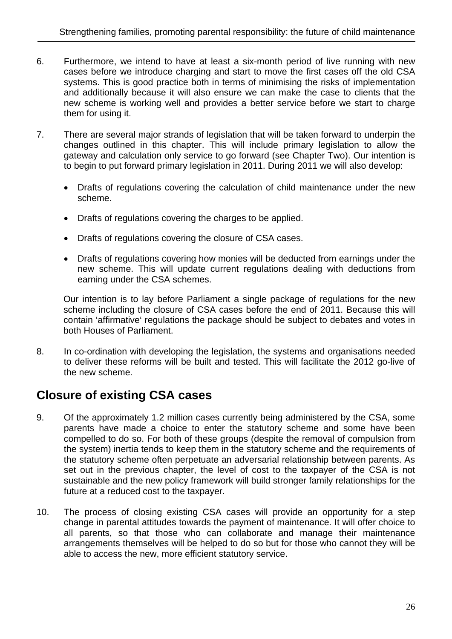- 6. Furthermore, we intend to have at least a six-month period of live running with new cases before we introduce charging and start to move the first cases off the old CSA systems. This is good practice both in terms of minimising the risks of implementation and additionally because it will also ensure we can make the case to clients that the new scheme is working well and provides a better service before we start to charge them for using it.
- 7. There are several major strands of legislation that will be taken forward to underpin the changes outlined in this chapter. This will include primary legislation to allow the gateway and calculation only service to go forward (see Chapter Two). Our intention is to begin to put forward primary legislation in 2011. During 2011 we will also develop:
	- Drafts of regulations covering the calculation of child maintenance under the new scheme.
	- Drafts of regulations covering the charges to be applied.
	- Drafts of regulations covering the closure of CSA cases.
	- Drafts of regulations covering how monies will be deducted from earnings under the new scheme. This will update current regulations dealing with deductions from earning under the CSA schemes.

Our intention is to lay before Parliament a single package of regulations for the new scheme including the closure of CSA cases before the end of 2011. Because this will contain 'affirmative' regulations the package should be subject to debates and votes in both Houses of Parliament.

8. In co-ordination with developing the legislation, the systems and organisations needed to deliver these reforms will be built and tested. This will facilitate the 2012 go-live of the new scheme.

#### **Closure of existing CSA cases**

- 9. Of the approximately 1.2 million cases currently being administered by the CSA, some parents have made a choice to enter the statutory scheme and some have been compelled to do so. For both of these groups (despite the removal of compulsion from the system) inertia tends to keep them in the statutory scheme and the requirements of the statutory scheme often perpetuate an adversarial relationship between parents. As set out in the previous chapter, the level of cost to the taxpayer of the CSA is not sustainable and the new policy framework will build stronger family relationships for the future at a reduced cost to the taxpayer.
- 10. The process of closing existing CSA cases will provide an opportunity for a step change in parental attitudes towards the payment of maintenance. It will offer choice to all parents, so that those who can collaborate and manage their maintenance arrangements themselves will be helped to do so but for those who cannot they will be able to access the new, more efficient statutory service.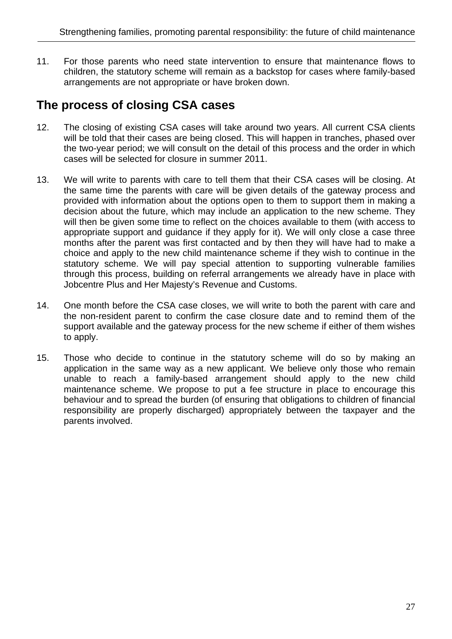11. For those parents who need state intervention to ensure that maintenance flows to children, the statutory scheme will remain as a backstop for cases where family-based arrangements are not appropriate or have broken down.

#### **The process of closing CSA cases**

- 12. The closing of existing CSA cases will take around two years. All current CSA clients will be told that their cases are being closed. This will happen in tranches, phased over the two-year period; we will consult on the detail of this process and the order in which cases will be selected for closure in summer 2011.
- 13. We will write to parents with care to tell them that their CSA cases will be closing. At the same time the parents with care will be given details of the gateway process and provided with information about the options open to them to support them in making a decision about the future, which may include an application to the new scheme. They will then be given some time to reflect on the choices available to them (with access to appropriate support and guidance if they apply for it). We will only close a case three months after the parent was first contacted and by then they will have had to make a choice and apply to the new child maintenance scheme if they wish to continue in the statutory scheme. We will pay special attention to supporting vulnerable families through this process, building on referral arrangements we already have in place with Jobcentre Plus and Her Majesty's Revenue and Customs.
- 14. One month before the CSA case closes, we will write to both the parent with care and the non-resident parent to confirm the case closure date and to remind them of the support available and the gateway process for the new scheme if either of them wishes to apply.
- 15. Those who decide to continue in the statutory scheme will do so by making an application in the same way as a new applicant. We believe only those who remain unable to reach a family-based arrangement should apply to the new child maintenance scheme. We propose to put a fee structure in place to encourage this behaviour and to spread the burden (of ensuring that obligations to children of financial responsibility are properly discharged) appropriately between the taxpayer and the parents involved.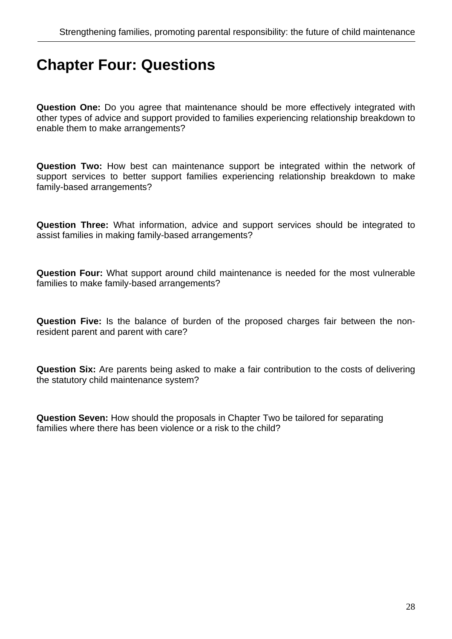## **Chapter Four: Questions**

**Question One:** Do you agree that maintenance should be more effectively integrated with other types of advice and support provided to families experiencing relationship breakdown to enable them to make arrangements?

**Question Two:** How best can maintenance support be integrated within the network of support services to better support families experiencing relationship breakdown to make family-based arrangements?

**Question Three:** What information, advice and support services should be integrated to assist families in making family-based arrangements?

**Question Four:** What support around child maintenance is needed for the most vulnerable families to make family-based arrangements?

**Question Five:** Is the balance of burden of the proposed charges fair between the nonresident parent and parent with care?

**Question Six:** Are parents being asked to make a fair contribution to the costs of delivering the statutory child maintenance system?

**Question Seven:** How should the proposals in Chapter Two be tailored for separating families where there has been violence or a risk to the child?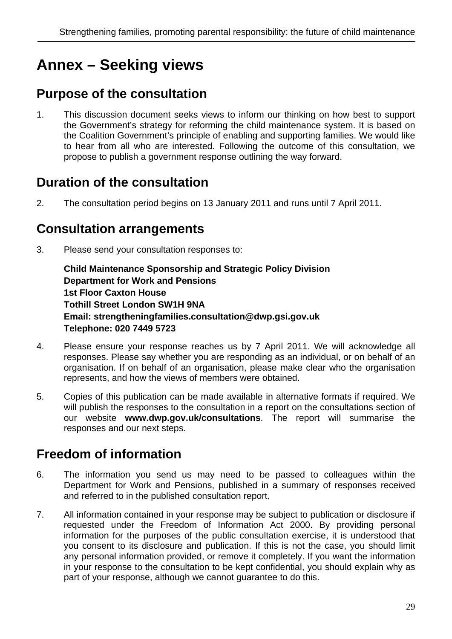# **Annex – Seeking views**

### **Purpose of the consultation**

1. This discussion document seeks views to inform our thinking on how best to support the Government's strategy for reforming the child maintenance system. It is based on the Coalition Government's principle of enabling and supporting families. We would like to hear from all who are interested. Following the outcome of this consultation, we propose to publish a government response outlining the way forward.

#### **Duration of the consultation**

2. The consultation period begins on 13 January 2011 and runs until 7 April 2011.

#### **Consultation arrangements**

3. Please send your consultation responses to:

**Child Maintenance Sponsorship and Strategic Policy Division Department for Work and Pensions 1st Floor Caxton House Tothill Street London SW1H 9NA Email: strengtheningfamilies.consultation@dwp.gsi.gov.uk Telephone: 020 7449 5723**

- 4. Please ensure your response reaches us by 7 April 2011. We will acknowledge all responses. Please say whether you are responding as an individual, or on behalf of an organisation. If on behalf of an organisation, please make clear who the organisation represents, and how the views of members were obtained.
- 5. Copies of this publication can be made available in alternative formats if required. We will publish the responses to the consultation in a report on the consultations section of our website **www.dwp.gov.uk/consultations**. The report will summarise the responses and our next steps.

### **Freedom of information**

- 6. The information you send us may need to be passed to colleagues within the Department for Work and Pensions, published in a summary of responses received and referred to in the published consultation report.
- 7. All information contained in your response may be subject to publication or disclosure if requested under the Freedom of Information Act 2000. By providing personal information for the purposes of the public consultation exercise, it is understood that you consent to its disclosure and publication. If this is not the case, you should limit any personal information provided, or remove it completely. If you want the information in your response to the consultation to be kept confidential, you should explain why as part of your response, although we cannot guarantee to do this.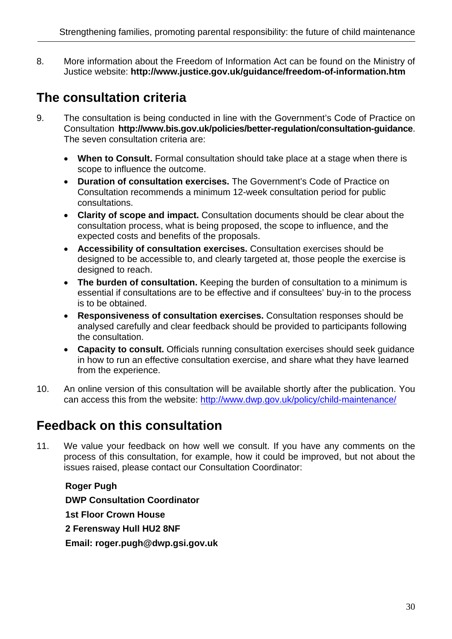8. More information about the Freedom of Information Act can be found on the Ministry of Justice website: **http://www.justice.gov.uk/guidance/freedom-of-information.htm**

### **The consultation criteria**

- 9. The consultation is being conducted in line with the Government's Code of Practice on Consultation **http://www.bis.gov.uk/policies/better-regulation/consultation-guidance**. The seven consultation criteria are:
	- **When to Consult.** Formal consultation should take place at a stage when there is scope to influence the outcome.
	- **Duration of consultation exercises.** The Government's Code of Practice on Consultation recommends a minimum 12-week consultation period for public consultations.
	- **Clarity of scope and impact.** Consultation documents should be clear about the consultation process, what is being proposed, the scope to influence, and the expected costs and benefits of the proposals.
	- **Accessibility of consultation exercises.** Consultation exercises should be designed to be accessible to, and clearly targeted at, those people the exercise is designed to reach.
	- The burden of consultation. Keeping the burden of consultation to a minimum is essential if consultations are to be effective and if consultees' buy-in to the process is to be obtained.
	- **Responsiveness of consultation exercises.** Consultation responses should be analysed carefully and clear feedback should be provided to participants following the consultation.
	- **Capacity to consult.** Officials running consultation exercises should seek guidance in how to run an effective consultation exercise, and share what they have learned from the experience.
- 10. An online version of this consultation will be available shortly after the publication. You can access this from the website: http://www.dwp.gov.uk/policy/child-maintenance/

## **Feedback on this consultation**

11. We value your feedback on how well we consult. If you have any comments on the process of this consultation, for example, how it could be improved, but not about the issues raised, please contact our Consultation Coordinator:

**Roger Pugh DWP Consultation Coordinator 1st Floor Crown House 2 Ferensway Hull HU2 8NF Email: roger.pugh@dwp.gsi.gov.uk**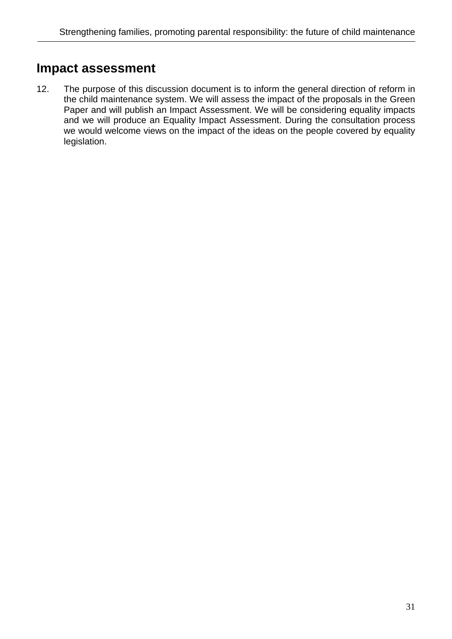#### **Impact assessment**

12. The purpose of this discussion document is to inform the general direction of reform in the child maintenance system. We will assess the impact of the proposals in the Green Paper and will publish an Impact Assessment. We will be considering equality impacts and we will produce an Equality Impact Assessment. During the consultation process we would welcome views on the impact of the ideas on the people covered by equality legislation.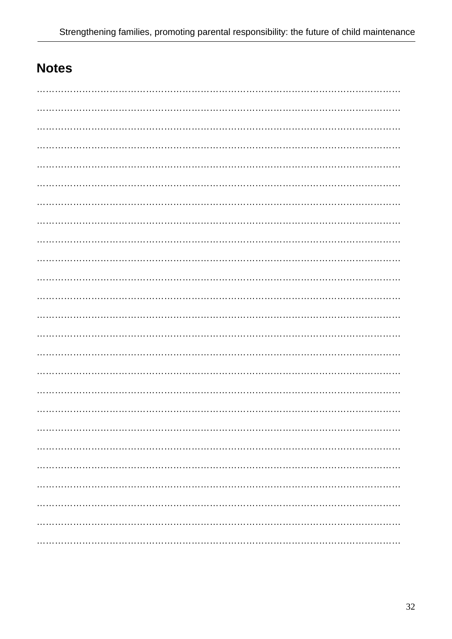## **Notes**